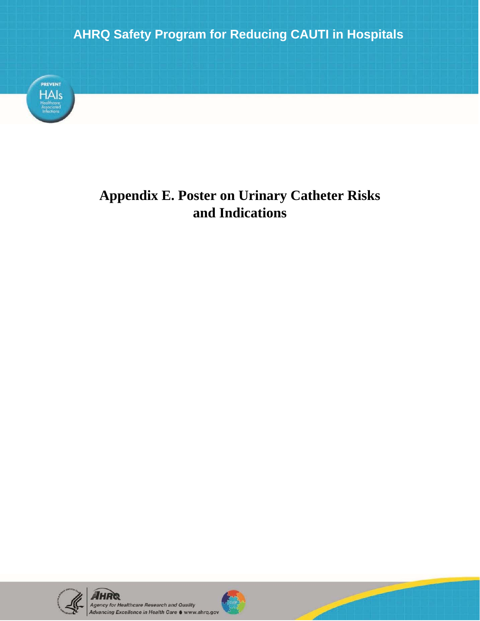## **AHRQ Safety Program for Reducing CAUTI in Hospitals**



## **Appendix E. Poster on Urinary Catheter Risks and Indications**